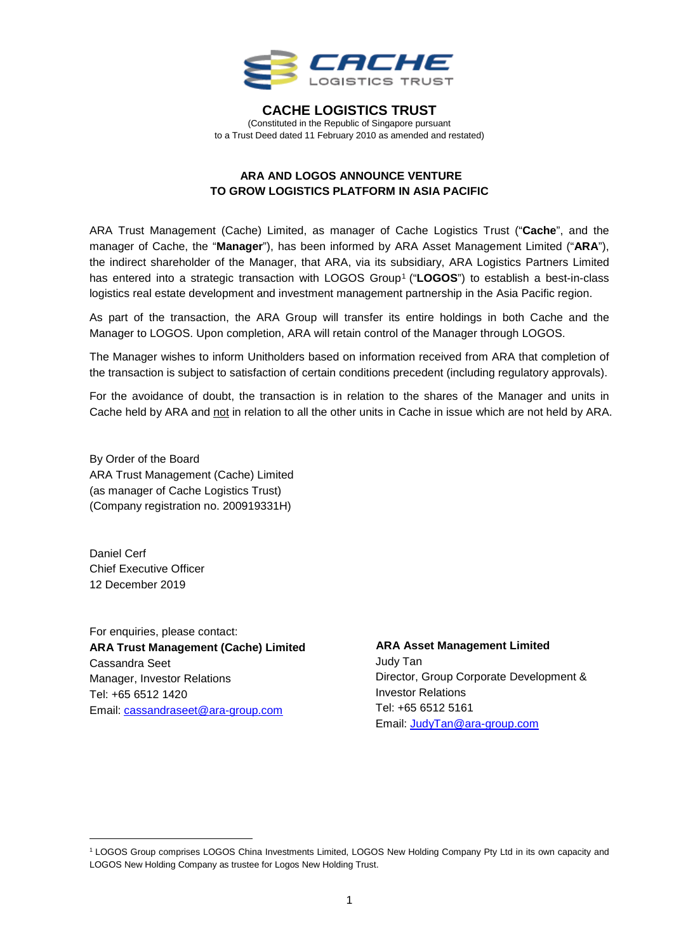

#### **CACHE LOGISTICS TRUST** (Constituted in the Republic of Singapore pursuant

to a Trust Deed dated 11 February 2010 as amended and restated)

# **ARA AND LOGOS ANNOUNCE VENTURE TO GROW LOGISTICS PLATFORM IN ASIA PACIFIC**

ARA Trust Management (Cache) Limited, as manager of Cache Logistics Trust ("**Cache**", and the manager of Cache, the "**Manager**"), has been informed by ARA Asset Management Limited ("**ARA**"), the indirect shareholder of the Manager, that ARA, via its subsidiary, ARA Logistics Partners Limited has entered into a strategic transaction with LOGOS Group<sup>[1](#page-0-0)</sup> ("LOGOS") to establish a best-in-class logistics real estate development and investment management partnership in the Asia Pacific region.

As part of the transaction, the ARA Group will transfer its entire holdings in both Cache and the Manager to LOGOS. Upon completion, ARA will retain control of the Manager through LOGOS.

The Manager wishes to inform Unitholders based on information received from ARA that completion of the transaction is subject to satisfaction of certain conditions precedent (including regulatory approvals).

For the avoidance of doubt, the transaction is in relation to the shares of the Manager and units in Cache held by ARA and not in relation to all the other units in Cache in issue which are not held by ARA.

By Order of the Board ARA Trust Management (Cache) Limited (as manager of Cache Logistics Trust) (Company registration no. 200919331H)

Daniel Cerf Chief Executive Officer 12 December 2019

For enquiries, please contact: **ARA Trust Management (Cache) Limited**  Cassandra Seet Manager, Investor Relations Tel: +65 6512 1420 Email: [cassandraseet@ara-group.com](mailto:cassandraseet@ara-group.com)

 **ARA Asset Management Limited** Judy Tan Director, Group Corporate Development & Investor Relations Tel: +65 6512 5161 Email: [JudyTan@ara-group.com](mailto:JudyTan@ara-group.com)

<span id="page-0-0"></span> <sup>1</sup> LOGOS Group comprises LOGOS China Investments Limited, LOGOS New Holding Company Pty Ltd in its own capacity and LOGOS New Holding Company as trustee for Logos New Holding Trust.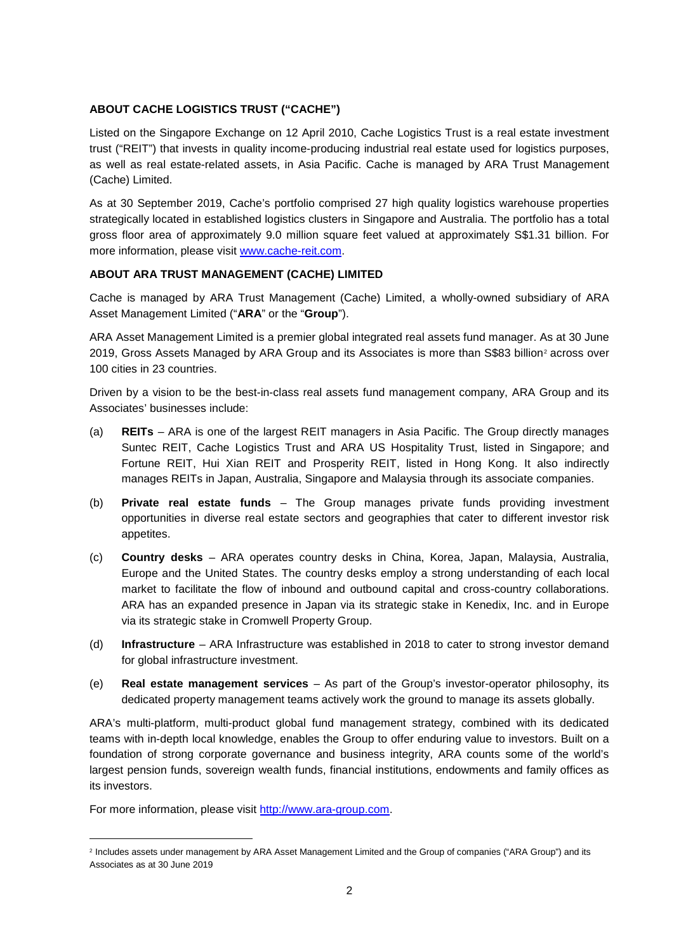## **ABOUT CACHE LOGISTICS TRUST ("CACHE")**

Listed on the Singapore Exchange on 12 April 2010, Cache Logistics Trust is a real estate investment trust ("REIT") that invests in quality income-producing industrial real estate used for logistics purposes, as well as real estate-related assets, in Asia Pacific. Cache is managed by ARA Trust Management (Cache) Limited.

As at 30 September 2019, Cache's portfolio comprised 27 high quality logistics warehouse properties strategically located in established logistics clusters in Singapore and Australia. The portfolio has a total gross floor area of approximately 9.0 million square feet valued at approximately S\$1.31 billion. For more information, please visit [www.cache-reit.com.](http://www.cache-reit.com/)

## **ABOUT ARA TRUST MANAGEMENT (CACHE) LIMITED**

Cache is managed by ARA Trust Management (Cache) Limited, a wholly-owned subsidiary of ARA Asset Management Limited ("**ARA**" or the "**Group**").

ARA Asset Management Limited is a premier global integrated real assets fund manager. As at 30 June [2](#page-1-0)019, Gross Assets Managed by ARA Group and its Associates is more than S\$83 billion<sup>2</sup> across over 100 cities in 23 countries.

Driven by a vision to be the best-in-class real assets fund management company, ARA Group and its Associates' businesses include:

- (a) **REITs**  ARA is one of the largest REIT managers in Asia Pacific. The Group directly manages Suntec REIT, Cache Logistics Trust and ARA US Hospitality Trust, listed in Singapore; and Fortune REIT, Hui Xian REIT and Prosperity REIT, listed in Hong Kong. It also indirectly manages REITs in Japan, Australia, Singapore and Malaysia through its associate companies.
- (b) **Private real estate funds**  The Group manages private funds providing investment opportunities in diverse real estate sectors and geographies that cater to different investor risk appetites.
- (c) **Country desks**  ARA operates country desks in China, Korea, Japan, Malaysia, Australia, Europe and the United States. The country desks employ a strong understanding of each local market to facilitate the flow of inbound and outbound capital and cross-country collaborations. ARA has an expanded presence in Japan via its strategic stake in Kenedix, Inc. and in Europe via its strategic stake in Cromwell Property Group.
- (d) **Infrastructure**  ARA Infrastructure was established in 2018 to cater to strong investor demand for global infrastructure investment.
- (e) **Real estate management services**  As part of the Group's investor-operator philosophy, its dedicated property management teams actively work the ground to manage its assets globally.

ARA's multi-platform, multi-product global fund management strategy, combined with its dedicated teams with in-depth local knowledge, enables the Group to offer enduring value to investors. Built on a foundation of strong corporate governance and business integrity, ARA counts some of the world's largest pension funds, sovereign wealth funds, financial institutions, endowments and family offices as its investors.

For more information, please visit [http://www.ara-group.com.](http://www.ara-group.com/)

<span id="page-1-0"></span> <sup>2</sup> Includes assets under management by ARA Asset Management Limited and the Group of companies ("ARA Group") and its Associates as at 30 June 2019